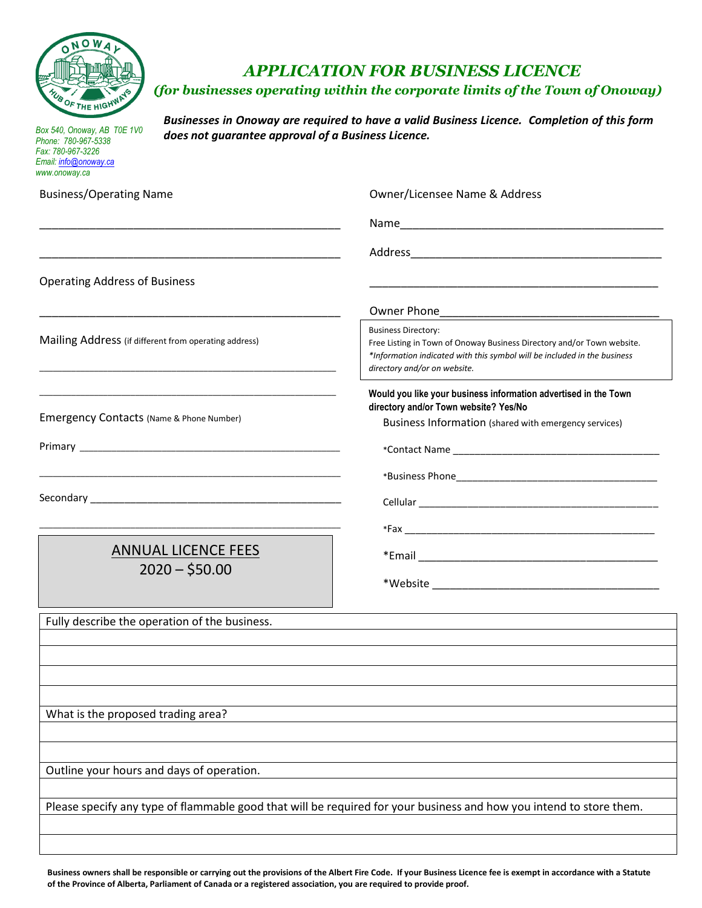

## *APPLICATION FOR BUSINESS LICENCE*

## *(for businesses operating within the corporate limits of the Town of Onoway)*

*Box 540, Onoway, AB T0E 1V0 Phone: 780-967-5338 Fax: 780-967-3226 Email[: info@onoway.ca](mailto:info@onoway.ca) www.onoway.ca*

*Businesses in Onoway are required to have a valid Business Licence. Completion of this form does not guarantee approval of a Business Licence.* 

| www.onoway.ca                                                                                                                                                                  |                                                                                                                                                                                                                  |  |  |
|--------------------------------------------------------------------------------------------------------------------------------------------------------------------------------|------------------------------------------------------------------------------------------------------------------------------------------------------------------------------------------------------------------|--|--|
| <b>Business/Operating Name</b>                                                                                                                                                 | Owner/Licensee Name & Address                                                                                                                                                                                    |  |  |
|                                                                                                                                                                                |                                                                                                                                                                                                                  |  |  |
|                                                                                                                                                                                |                                                                                                                                                                                                                  |  |  |
| <b>Operating Address of Business</b>                                                                                                                                           |                                                                                                                                                                                                                  |  |  |
|                                                                                                                                                                                |                                                                                                                                                                                                                  |  |  |
| Mailing Address (if different from operating address)<br><u> 1989 - Johann Stoff, deutscher Stoff, der Stoff, der Stoff, der Stoff, der Stoff, der Stoff, der Stoff, der S</u> | <b>Business Directory:</b><br>Free Listing in Town of Onoway Business Directory and/or Town website.<br>*Information indicated with this symbol will be included in the business<br>directory and/or on website. |  |  |
| Emergency Contacts (Name & Phone Number)                                                                                                                                       | Would you like your business information advertised in the Town<br>directory and/or Town website? Yes/No<br>Business Information (shared with emergency services)                                                |  |  |
|                                                                                                                                                                                |                                                                                                                                                                                                                  |  |  |
|                                                                                                                                                                                |                                                                                                                                                                                                                  |  |  |
|                                                                                                                                                                                |                                                                                                                                                                                                                  |  |  |
|                                                                                                                                                                                |                                                                                                                                                                                                                  |  |  |
| <b>ANNUAL LICENCE FEES</b>                                                                                                                                                     |                                                                                                                                                                                                                  |  |  |
| $2020 - $50.00$                                                                                                                                                                |                                                                                                                                                                                                                  |  |  |
| Fully describe the operation of the business.                                                                                                                                  |                                                                                                                                                                                                                  |  |  |
|                                                                                                                                                                                |                                                                                                                                                                                                                  |  |  |
|                                                                                                                                                                                |                                                                                                                                                                                                                  |  |  |
|                                                                                                                                                                                |                                                                                                                                                                                                                  |  |  |
|                                                                                                                                                                                |                                                                                                                                                                                                                  |  |  |
| What is the proposed trading area?                                                                                                                                             |                                                                                                                                                                                                                  |  |  |
|                                                                                                                                                                                |                                                                                                                                                                                                                  |  |  |
| Outline your hours and days of operation.                                                                                                                                      |                                                                                                                                                                                                                  |  |  |
|                                                                                                                                                                                |                                                                                                                                                                                                                  |  |  |
|                                                                                                                                                                                | Please specify any type of flammable good that will be required for your business and how you intend to store them.                                                                                              |  |  |
|                                                                                                                                                                                |                                                                                                                                                                                                                  |  |  |
|                                                                                                                                                                                |                                                                                                                                                                                                                  |  |  |

**Business owners shall be responsible or carrying out the provisions of the Albert Fire Code. If your Business Licence fee is exempt in accordance with a Statute of the Province of Alberta, Parliament of Canada or a registered association, you are required to provide proof.**